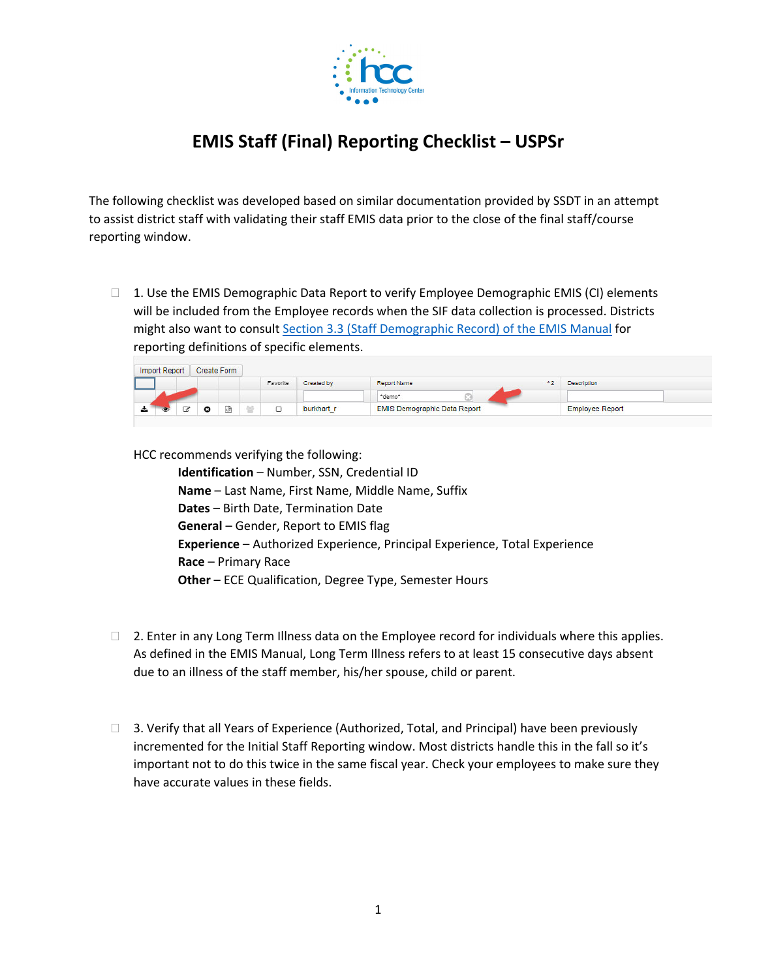

## **EMIS Staff (Final) Reporting Checklist – USPSr**

The following checklist was developed based on similar documentation provided by SSDT in an attempt to assist district staff with validating their staff EMIS data prior to the close of the final staff/course reporting window.

 $\Box$  1. Use the EMIS Demographic Data Report to verify Employee Demographic EMIS (CI) elements will be included from the Employee records when the SIF data collection is processed. Districts might also want to consult Section 3.3 (Staff Demographic Record) of the EMIS Manual for reporting definitions of specific elements.

|                                                                                                                | Import Report |   | <b>Create Form</b> |                       |                   |                                     |                        |
|----------------------------------------------------------------------------------------------------------------|---------------|---|--------------------|-----------------------|-------------------|-------------------------------------|------------------------|
|                                                                                                                |               |   |                    | Favorite              | <b>Created by</b> | 本作<br><b>Report Name</b>            | <b>Description</b>     |
|                                                                                                                |               |   |                    |                       |                   | "demo"                              |                        |
| a control de la control de la control de la control de la control de la control de la control de la control de |               | ு | 國                  | $\tilde{\phantom{a}}$ | burkhart_r        | <b>EMIS Demographic Data Report</b> | <b>Employee Report</b> |

HCC recommends verifying the following:

**Identification** – Number, SSN, Credential ID **Name** – Last Name, First Name, Middle Name, Suffix **Dates** – Birth Date, Termination Date **General** – Gender, Report to EMIS flag **Experience** – Authorized Experience, Principal Experience, Total Experience **Race** – Primary Race **Other** – ECE Qualification, Degree Type, Semester Hours

- $\Box$  2. Enter in any Long Term Illness data on the Employee record for individuals where this applies. As defined in the EMIS Manual, Long Term Illness refers to at least 15 consecutive days absent due to an illness of the staff member, his/her spouse, child or parent.
- $\Box$  3. Verify that all Years of Experience (Authorized, Total, and Principal) have been previously incremented for the Initial Staff Reporting window. Most districts handle this in the fall so it's important not to do this twice in the same fiscal year. Check your employees to make sure they have accurate values in these fields.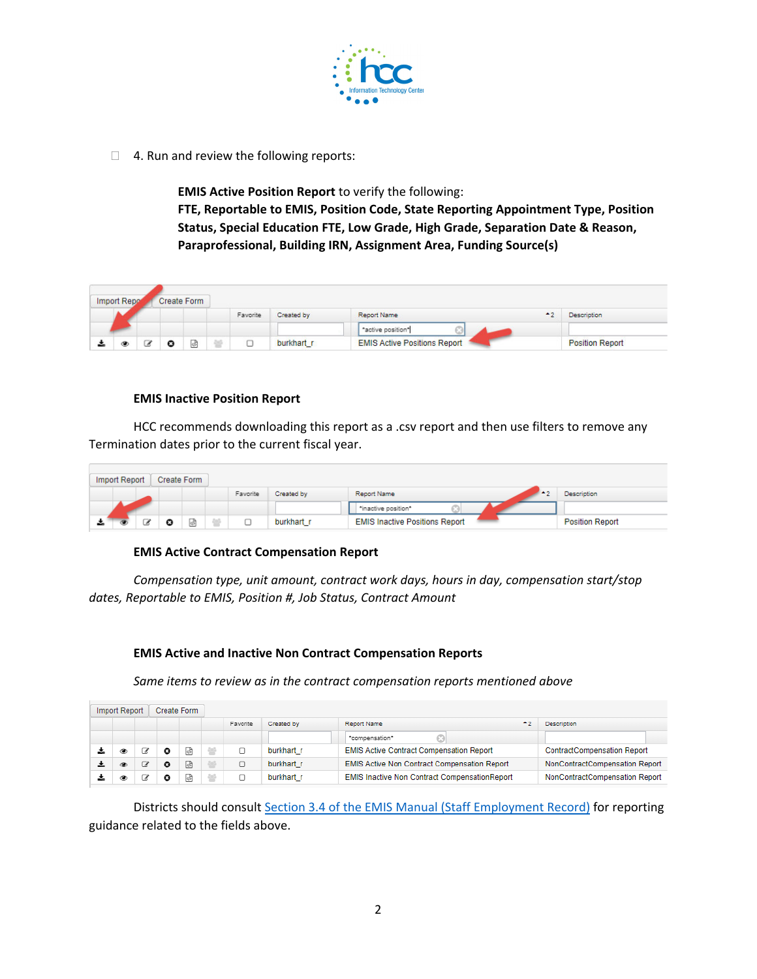

□ 4. Run and review the following reports:

**EMIS Active Position Report** to verify the following: **FTE, Reportable to EMIS, Position Code, State Reporting Appointment Type, Position Status, Special Education FTE, Low Grade, High Grade, Separation Date & Reason, Paraprofessional, Building IRN, Assignment Area, Funding Source(s)**

|   | Import Repo |   | Create Form |          |            |                                     |                        |
|---|-------------|---|-------------|----------|------------|-------------------------------------|------------------------|
|   |             |   |             | Favorite | Created by | みり<br>Report Name                   | <b>Description</b>     |
|   |             |   |             |          |            | *active position*                   |                        |
| ÷ | đ.          | ◡ | [4D]        |          | burkhart_r | <b>EMIS Active Positions Report</b> | <b>Position Report</b> |

## **EMIS Inactive Position Report**

HCC recommends downloading this report as a .csv report and then use filters to remove any Termination dates prior to the current fiscal year.

| Import Report |  |    | Create Form |   |          |            |                                       |                        |
|---------------|--|----|-------------|---|----------|------------|---------------------------------------|------------------------|
|               |  |    |             |   | Favorite | Created by | Report Name                           | <b>Description</b>     |
|               |  |    |             |   |          |            | "inactive position"                   |                        |
| <u>ж.</u>     |  | ہے | ദ           | 岡 |          | burkhart r | <b>EMIS Inactive Positions Report</b> | <b>Position Report</b> |

## **EMIS Active Contract Compensation Report**

*Compensation type, unit amount, contract work days, hours in day, compensation start/stop dates, Reportable to EMIS, Position #, Job Status, Contract Amount*

## **EMIS Active and Inactive Non Contract Compensation Reports**

*Same items to review as in the contract compensation reports mentioned above* 

| Import Report |   |    | Create Form |  |          |            |                                                      |                                    |  |  |
|---------------|---|----|-------------|--|----------|------------|------------------------------------------------------|------------------------------------|--|--|
|               |   |    |             |  | Favorite | Created by | 45<br>Report Name                                    | <b>Description</b>                 |  |  |
|               |   |    |             |  |          |            | *compensation*                                       |                                    |  |  |
|               |   |    | Θ           |  |          | burkhart r | <b>EMIS Active Contract Compensation Report</b>      | <b>ContractCompensation Report</b> |  |  |
| ż.            | ◉ | B, | o           |  |          | burkhart r | <b>EMIS Active Non Contract Compensation Report</b>  | NonContractCompensation Report     |  |  |
|               | ۹ |    | o           |  |          | burkhart r | <b>EMIS Inactive Non Contract CompensationReport</b> | NonContractCompensation Report     |  |  |

Districts should consult Section 3.4 of the EMIS Manual (Staff Employment Record) for reporting guidance related to the fields above.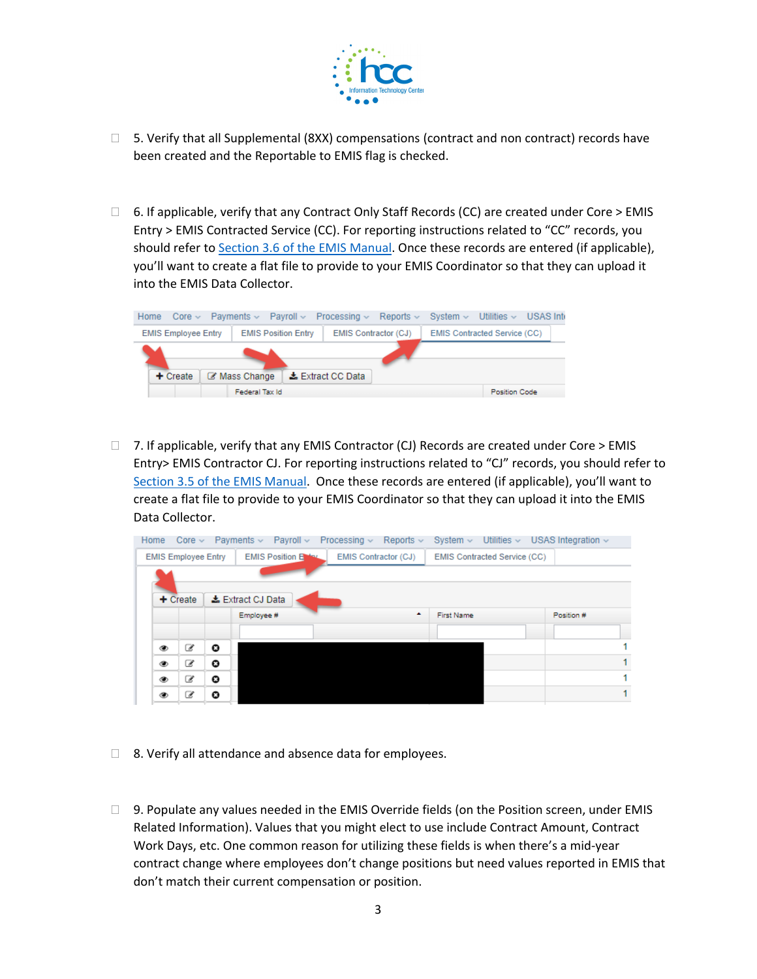

- $\Box$  5. Verify that all Supplemental (8XX) compensations (contract and non contract) records have been created and the Reportable to EMIS flag is checked.
- $\Box$  6. If applicable, verify that any Contract Only Staff Records (CC) are created under Core > EMIS Entry > EMIS Contracted Service (CC). For reporting instructions related to "CC" records, you should refer to Section 3.6 of the EMIS Manual. Once these records are entered (if applicable), you'll want to create a flat file to provide to your EMIS Coordinator so that they can upload it into the EMIS Data Collector.



 $\Box$  7. If applicable, verify that any EMIS Contractor (CJ) Records are created under Core > EMIS Entry> EMIS Contractor CJ. For reporting instructions related to "CJ" records, you should refer to Section 3.5 of the EMIS Manual. Once these records are entered (if applicable), you'll want to create a flat file to provide to your EMIS Coordinator so that they can upload it into the EMIS Data Collector.

| Home |   |                            |                       |                  | Core $\sim$ Payments $\sim$ Payroll $\sim$ Processing $\sim$ |   | Reports $\sim$       |  |            |                              |  | System $\sim$ Utilities $\sim$ USAS Integration $\sim$ |    |
|------|---|----------------------------|-----------------------|------------------|--------------------------------------------------------------|---|----------------------|--|------------|------------------------------|--|--------------------------------------------------------|----|
|      |   | <b>EMIS Employee Entry</b> |                       |                  | <b>EMIS Position Entry</b>                                   |   | EMIS Contractor (CJ) |  |            | EMIS Contracted Service (CC) |  |                                                        |    |
|      |   |                            |                       |                  |                                                              |   |                      |  |            |                              |  |                                                        |    |
|      |   | $+$ Create                 |                       | Lextract CJ Data |                                                              |   |                      |  |            |                              |  |                                                        |    |
|      |   |                            |                       | Employee#        |                                                              | ٠ |                      |  | First Name |                              |  | Position #                                             |    |
|      |   |                            |                       |                  |                                                              |   |                      |  |            |                              |  |                                                        |    |
|      | ◉ | C                          | Θ                     |                  |                                                              |   |                      |  |            |                              |  |                                                        | 1  |
|      | ۲ | €                          | $\boldsymbol{\sigma}$ |                  |                                                              |   |                      |  |            |                              |  |                                                        | 1. |
|      | ۱ | €                          | Θ                     |                  |                                                              |   |                      |  |            |                              |  |                                                        | 1  |
|      | ۵ | B,                         | Q                     |                  |                                                              |   |                      |  |            |                              |  |                                                        | 1  |
|      |   |                            |                       |                  |                                                              |   |                      |  |            |                              |  |                                                        |    |

- $\Box$  8. Verify all attendance and absence data for employees.
- $\Box$  9. Populate any values needed in the EMIS Override fields (on the Position screen, under EMIS Related Information). Values that you might elect to use include Contract Amount, Contract Work Days, etc. One common reason for utilizing these fields is when there's a mid‐year contract change where employees don't change positions but need values reported in EMIS that don't match their current compensation or position.